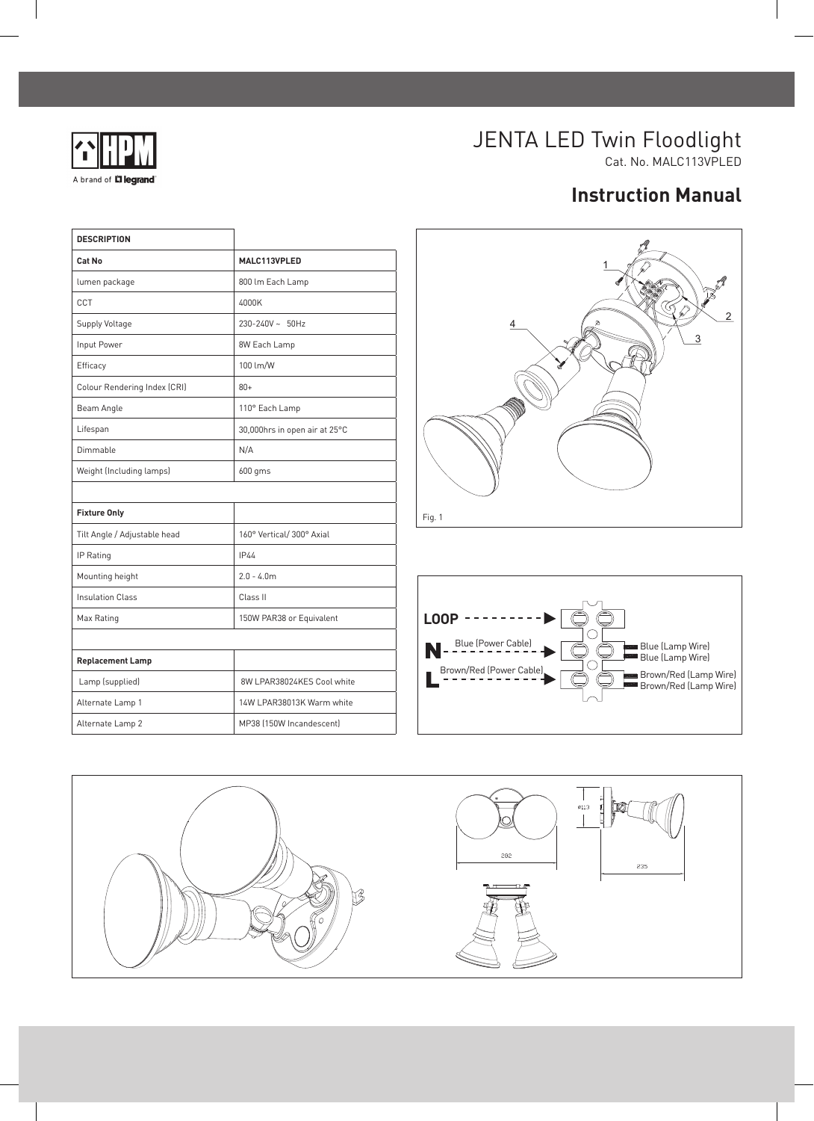

## JENTA LED Twin Floodlight Cat. No. MALC113VPLED

# **Instruction Manual**

| <b>DESCRIPTION</b>           |                               |
|------------------------------|-------------------------------|
| Cat No                       | MALC113VPLED                  |
| lumen package                | 800 lm Each Lamp              |
| <b>CCT</b>                   | 4000K                         |
| Supply Voltage               | $230 - 240V - 50Hz$           |
| Input Power                  | 8W Each Lamp                  |
| Efficacy                     | 100 lm/W                      |
| Colour Rendering Index (CRI) | $80+$                         |
| Beam Angle                   | 110° Each Lamp                |
| Lifespan                     | 30,000hrs in open air at 25°C |
| Dimmable                     | N/A                           |
| Weight (Including lamps)     | 600 gms                       |
|                              |                               |
| <b>Fixture Only</b>          |                               |
| Tilt Angle / Adjustable head | 160° Vertical/ 300° Axial     |
| IP Rating                    | <b>IP44</b>                   |
| Mounting height              | $2.0 - 4.0m$                  |
| <b>Insulation Class</b>      | Class II                      |
| Max Rating                   | 150W PAR38 or Equivalent      |
|                              |                               |
| <b>Replacement Lamp</b>      |                               |
| Lamp (supplied)              | 8W LPAR38024KES Cool white    |
| Alternate Lamp 1             | 14W LPAR38013K Warm white     |
| Alternate Lamp 2             | MP38 (150W Incandescent)      |